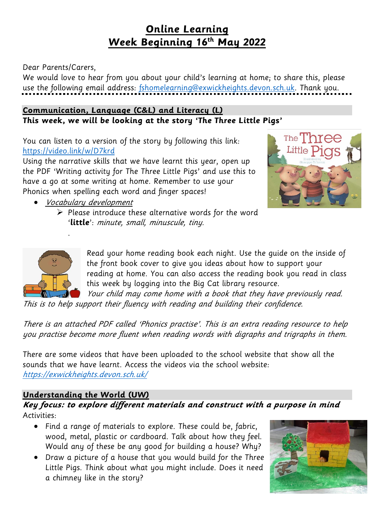# **Online Learning Week Beginning 16th May 2022**

Dear Parents/Carers,

We would love to hear from you about your child's learning at home; to share this, please use the following email address: [fshomelearning@exwickheights.devon.sch.uk.](mailto:fshomelearning@exwickheights.devon.sch.uk) Thank you.

### **Communication, Language (C&L) and Literacy (L) This week, we will be looking at the story 'The Three Little Pigs'**

You can listen to a version of the story by following this link: <https://video.link/w/D7krd>

Using the narrative skills that we have learnt this year, open up the PDF 'Writing activity for The Three Little Pigs' and use this to have a go at some writing at home. Remember to use your Phonics when spelling each word and finger spaces!

Vocabulary development

.

 $\triangleright$  Please introduce these alternative words for the word '**little**': minute, small, minuscule, tiny.





Read your home reading book each night. Use the guide on the inside of the front book cover to give you ideas about how to support your reading at home. You can also access the reading book you read in class this week by logging into the Big Cat library resource.

Your child may come home with a book that they have previously read. This is to help support their fluency with reading and building their confidence.

There is an attached PDF called 'Phonics practise'. This is an extra reading resource to help you practise become more fluent when reading words with digraphs and trigraphs in them.

There are some videos that have been uploaded to the school website that show all the sounds that we have learnt. Access the videos via the school website: <https://exwickheights.devon.sch.uk/>

## **Understanding the World (UW)**

**Key focus: to explore different materials and construct with <sup>a</sup> purpose in mind**  Activities:

- Find a range of materials to explore. These could be, fabric, wood, metal, plastic or cardboard. Talk about how they feel. Would any of these be any good for building a house? Why?
- Draw a picture of a house that you would build for the Three Little Pigs. Think about what you might include. Does it need a chimney like in the story?